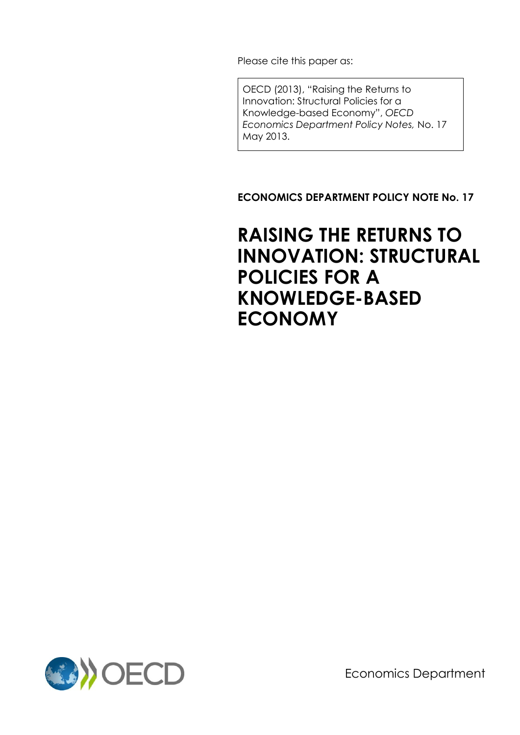Please cite this paper as:

OECD (2013), "Raising the Returns to Innovation: Structural Policies for a Knowledge-based Economy", *OECD Economics Department Policy Notes,* No. 17 May 2013.

**ECONOMICS DEPARTMENT POLICY NOTE No. 17**

# **RAISING THE RETURNS TO INNOVATION: STRUCTURAL POLICIES FOR A KNOWLEDGE-BASED ECONOMY**



Economics Department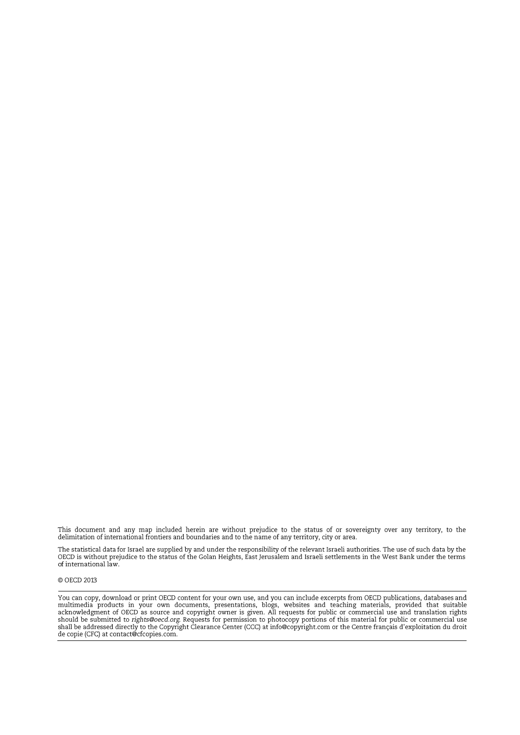This document and any map included herein are without prejudice to the status of or sovereignty over any territory, to the delimitation of international frontiers and boundaries and to the name of any territory, city or area.

The statistical data for Israel are supplied by and under the responsibility of the relevant Israeli authorities. The use of such data by the OECD is without prejudice to the status of the Golan Heights, East Jerusalem and

#### © OECD 2013

You can copy, download or print OECD content for your own use, and you can include excerpts from OECD publications, databases and nultimedia products in your own documents, presentations, blogs, websites and teaching materials, provided that suitable<br>acknowledgment of OECD as source and copyright owner is given. All requests for public or commercial should be submitted to rights@oecd.org. Requests for permission to photocopy portions of this material for public or commercial use<br>shall be addressed directly to the Copyright Clearance Center (CCC) at info@copyright.com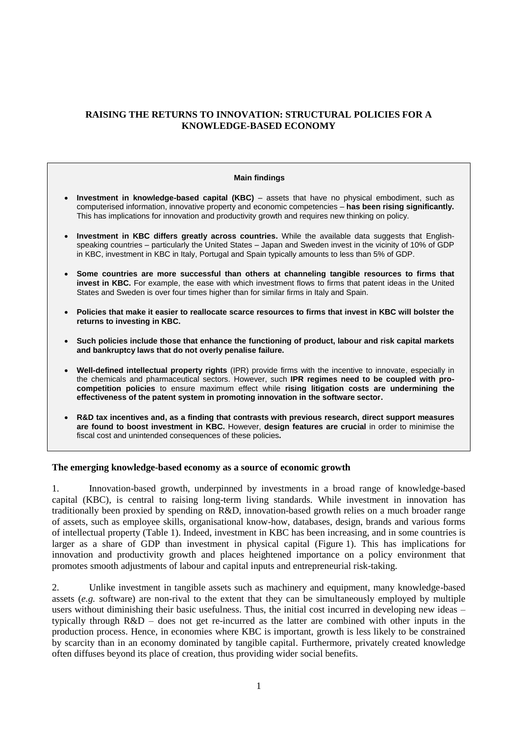# **RAISING THE RETURNS TO INNOVATION: STRUCTURAL POLICIES FOR A KNOWLEDGE-BASED ECONOMY**

# **Main findings Investment in knowledge-based capital (KBC)** – assets that have no physical embodiment, such as computerised information, innovative property and economic competencies – **has been rising significantly.** This has implications for innovation and productivity growth and requires new thinking on policy. **Investment in KBC differs greatly across countries.** While the available data suggests that Englishspeaking countries – particularly the United States – Japan and Sweden invest in the vicinity of 10% of GDP in KBC, investment in KBC in Italy, Portugal and Spain typically amounts to less than 5% of GDP. **Some countries are more successful than others at channeling tangible resources to firms that invest in KBC.** For example, the ease with which investment flows to firms that patent ideas in the United States and Sweden is over four times higher than for similar firms in Italy and Spain. **Policies that make it easier to reallocate scarce resources to firms that invest in KBC will bolster the returns to investing in KBC. Such policies include those that enhance the functioning of product, labour and risk capital markets and bankruptcy laws that do not overly penalise failure. Well-defined intellectual property rights** (IPR) provide firms with the incentive to innovate, especially in the chemicals and pharmaceutical sectors. However, such **IPR regimes need to be coupled with procompetition policies** to ensure maximum effect while **rising litigation costs are undermining the effectiveness of the patent system in promoting innovation in the software sector. R&D tax incentives and, as a finding that contrasts with previous research, direct support measures**

**are found to boost investment in KBC.** However, **design features are crucial** in order to minimise the fiscal cost and unintended consequences of these policies**.**

#### **The emerging knowledge-based economy as a source of economic growth**

1. Innovation-based growth, underpinned by investments in a broad range of knowledge-based capital (KBC), is central to raising long-term living standards. While investment in innovation has traditionally been proxied by spending on R&D, innovation-based growth relies on a much broader range of assets, such as employee skills, organisational know-how, databases, design, brands and various forms of intellectual property (Table 1). Indeed, investment in KBC has been increasing, and in some countries is larger as a share of GDP than investment in physical capital (Figure 1). This has implications for innovation and productivity growth and places heightened importance on a policy environment that promotes smooth adjustments of labour and capital inputs and entrepreneurial risk-taking.

2. Unlike investment in tangible assets such as machinery and equipment, many knowledge-based assets (*e.g.* software) are non-rival to the extent that they can be simultaneously employed by multiple users without diminishing their basic usefulness. Thus, the initial cost incurred in developing new ideas – typically through R&D – does not get re-incurred as the latter are combined with other inputs in the production process. Hence, in economies where KBC is important, growth is less likely to be constrained by scarcity than in an economy dominated by tangible capital. Furthermore, privately created knowledge often diffuses beyond its place of creation, thus providing wider social benefits.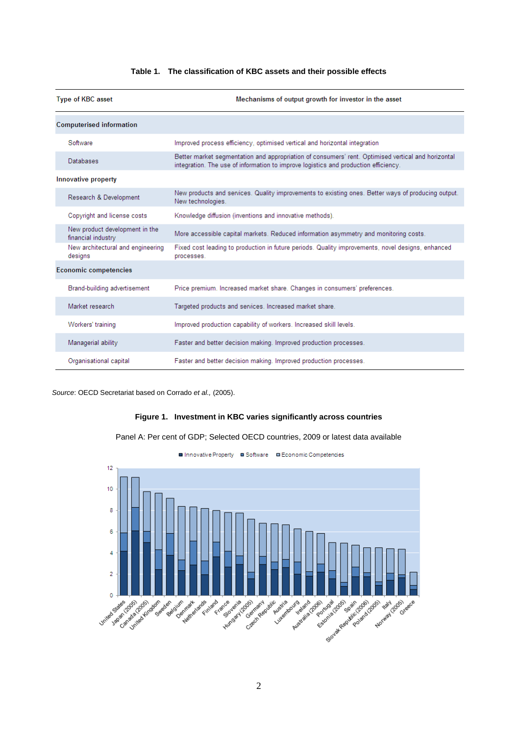| <b>Type of KBC asset</b>                             | Mechanisms of output growth for investor in the asset                                                                                                                                     |  |
|------------------------------------------------------|-------------------------------------------------------------------------------------------------------------------------------------------------------------------------------------------|--|
| <b>Computerised information</b>                      |                                                                                                                                                                                           |  |
| Software                                             | Improved process efficiency, optimised vertical and horizontal integration                                                                                                                |  |
| Databases                                            | Better market segmentation and appropriation of consumers' rent. Optimised vertical and horizontal<br>integration. The use of information to improve logistics and production efficiency. |  |
| Innovative property                                  |                                                                                                                                                                                           |  |
| Research & Development                               | New products and services. Quality improvements to existing ones. Better ways of producing output.<br>New technologies.                                                                   |  |
| Copyright and license costs                          | Knowledge diffusion (inventions and innovative methods).                                                                                                                                  |  |
| New product development in the<br>financial industry | More accessible capital markets. Reduced information asymmetry and monitoring costs.                                                                                                      |  |
| New architectural and engineering<br>designs         | Fixed cost leading to production in future periods. Quality improvements, novel designs, enhanced<br>processes.                                                                           |  |
| <b>Economic competencies</b>                         |                                                                                                                                                                                           |  |
| Brand-building advertisement                         | Price premium. Increased market share. Changes in consumers' preferences.                                                                                                                 |  |
| Market research.                                     | Targeted products and services, Increased market share.                                                                                                                                   |  |
| Workers' training                                    | Improved production capability of workers. Increased skill levels.                                                                                                                        |  |
| Managerial ability                                   | Faster and better decision making. Improved production processes.                                                                                                                         |  |
| Organisational capital                               | Faster and better decision making. Improved production processes.                                                                                                                         |  |

#### **Table 1. The classification of KBC assets and their possible effects**

*Source*: OECD Secretariat based on Corrado *et al.,* (2005).

#### **Figure 1. Investment in KBC varies significantly across countries**



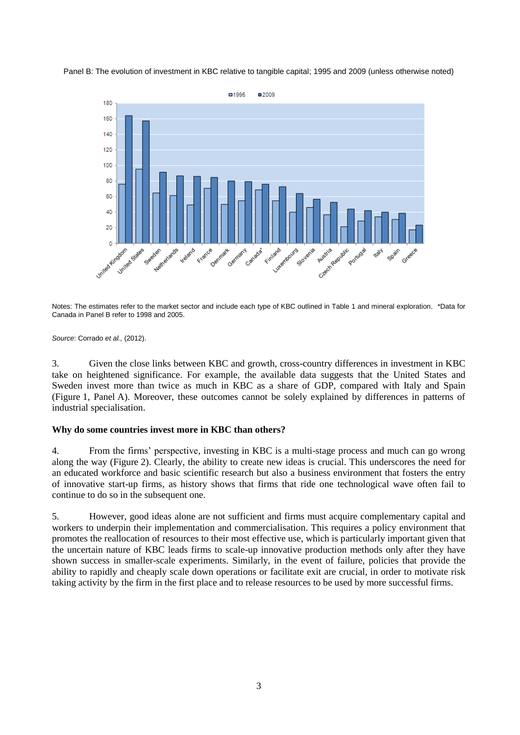



Notes: The estimates refer to the market sector and include each type of KBC outlined in Table 1 and mineral exploration. \*Data for Canada in Panel B refer to 1998 and 2005.

*Source*: Corrado *et al.,* (2012).

3. Given the close links between KBC and growth, cross-country differences in investment in KBC take on heightened significance. For example, the available data suggests that the United States and Sweden invest more than twice as much in KBC as a share of GDP, compared with Italy and Spain (Figure 1, Panel A). Moreover, these outcomes cannot be solely explained by differences in patterns of industrial specialisation.

### **Why do some countries invest more in KBC than others?**

4. From the firms' perspective, investing in KBC is a multi-stage process and much can go wrong along the way (Figure 2). Clearly, the ability to create new ideas is crucial. This underscores the need for an educated workforce and basic scientific research but also a business environment that fosters the entry of innovative start-up firms, as history shows that firms that ride one technological wave often fail to continue to do so in the subsequent one.

5. However, good ideas alone are not sufficient and firms must acquire complementary capital and workers to underpin their implementation and commercialisation. This requires a policy environment that promotes the reallocation of resources to their most effective use, which is particularly important given that the uncertain nature of KBC leads firms to scale-up innovative production methods only after they have shown success in smaller-scale experiments. Similarly, in the event of failure, policies that provide the ability to rapidly and cheaply scale down operations or facilitate exit are crucial, in order to motivate risk taking activity by the firm in the first place and to release resources to be used by more successful firms.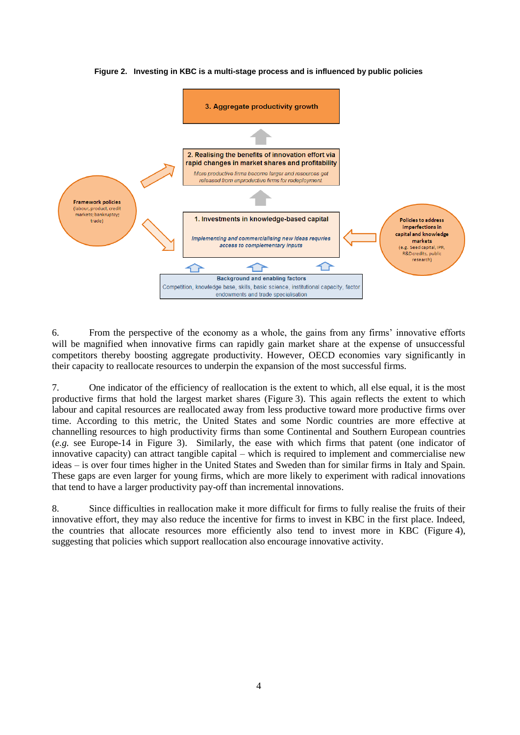

**Figure 2. Investing in KBC is a multi-stage process and is influenced by public policies**

6. From the perspective of the economy as a whole, the gains from any firms' innovative efforts will be magnified when innovative firms can rapidly gain market share at the expense of unsuccessful competitors thereby boosting aggregate productivity. However, OECD economies vary significantly in their capacity to reallocate resources to underpin the expansion of the most successful firms.

7. One indicator of the efficiency of reallocation is the extent to which, all else equal, it is the most productive firms that hold the largest market shares (Figure 3). This again reflects the extent to which labour and capital resources are reallocated away from less productive toward more productive firms over time. According to this metric, the United States and some Nordic countries are more effective at channelling resources to high productivity firms than some Continental and Southern European countries (*e.g.* see Europe-14 in Figure 3). Similarly, the ease with which firms that patent (one indicator of innovative capacity) can attract tangible capital – which is required to implement and commercialise new ideas – is over four times higher in the United States and Sweden than for similar firms in Italy and Spain. These gaps are even larger for young firms, which are more likely to experiment with radical innovations that tend to have a larger productivity pay-off than incremental innovations.

8. Since difficulties in reallocation make it more difficult for firms to fully realise the fruits of their innovative effort, they may also reduce the incentive for firms to invest in KBC in the first place. Indeed, the countries that allocate resources more efficiently also tend to invest more in KBC (Figure 4), suggesting that policies which support reallocation also encourage innovative activity.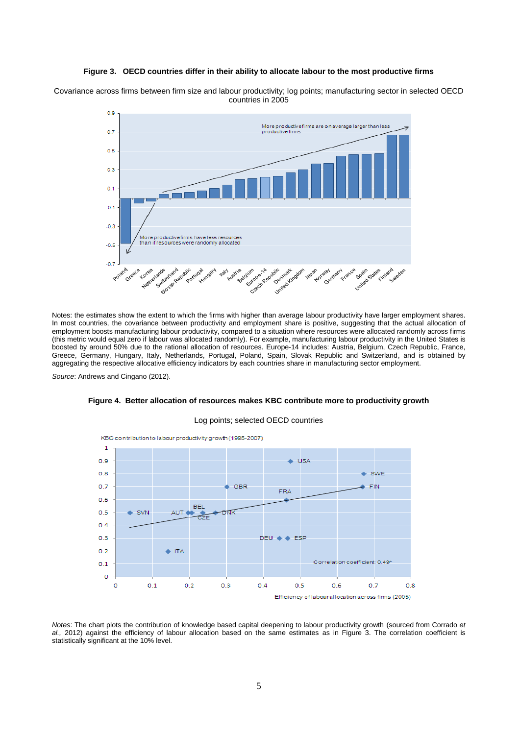#### **Figure 3. OECD countries differ in their ability to allocate labour to the most productive firms**

Covariance across firms between firm size and labour productivity; log points; manufacturing sector in selected OECD countries in 2005



Notes: the estimates show the extent to which the firms with higher than average labour productivity have larger employment shares. In most countries, the covariance between productivity and employment share is positive, suggesting that the actual allocation of employment boosts manufacturing labour productivity, compared to a situation where resources were allocated randomly across firms (this metric would equal zero if labour was allocated randomly). For example, manufacturing labour productivity in the United States is boosted by around 50% due to the rational allocation of resources. Europe-14 includes: Austria, Belgium, Czech Republic, France, Greece, Germany, Hungary, Italy, Netherlands, Portugal, Poland, Spain, Slovak Republic and Switzerland, and is obtained by aggregating the respective allocative efficiency indicators by each countries share in manufacturing sector employment.

*Source*: Andrews and Cingano (2012).



# **Figure 4. Better allocation of resources makes KBC contribute more to productivity growth** Log points; selected OECD countries

*Notes*: The chart plots the contribution of knowledge based capital deepening to labour productivity growth (sourced from Corrado *et al.,* 2012) against the efficiency of labour allocation based on the same estimates as in Figure 3. The correlation coefficient is statistically significant at the 10% level.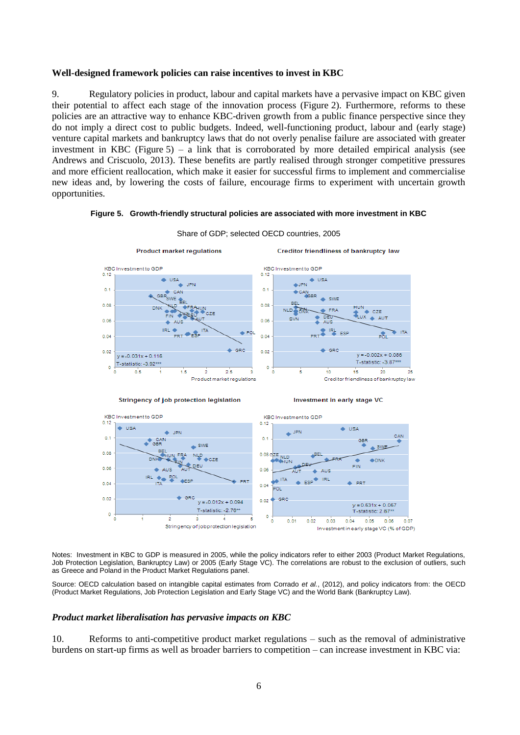#### **Well-designed framework policies can raise incentives to invest in KBC**

9. Regulatory policies in product, labour and capital markets have a pervasive impact on KBC given their potential to affect each stage of the innovation process (Figure 2). Furthermore, reforms to these policies are an attractive way to enhance KBC-driven growth from a public finance perspective since they do not imply a direct cost to public budgets. Indeed, well-functioning product, labour and (early stage) venture capital markets and bankruptcy laws that do not overly penalise failure are associated with greater investment in KBC (Figure 5) – a link that is corroborated by more detailed empirical analysis (see Andrews and Criscuolo, 2013). These benefits are partly realised through stronger competitive pressures and more efficient reallocation, which make it easier for successful firms to implement and commercialise new ideas and, by lowering the costs of failure, encourage firms to experiment with uncertain growth opportunities.

#### **Figure 5. Growth-friendly structural policies are associated with more investment in KBC**



Share of GDP; selected OECD countries, 2005



Investment in early stage VC



Notes: Investment in KBC to GDP is measured in 2005, while the policy indicators refer to either 2003 (Product Market Regulations, Job Protection Legislation, Bankruptcy Law) or 2005 (Early Stage VC). The correlations are robust to the exclusion of outliers, such as Greece and Poland in the Product Market Regulations panel.

Source: OECD calculation based on intangible capital estimates from Corrado *et al.*, (2012), and policy indicators from: the OECD (Product Market Regulations, Job Protection Legislation and Early Stage VC) and the World Bank (Bankruptcy Law).

#### *Product market liberalisation has pervasive impacts on KBC*

10. Reforms to anti-competitive product market regulations – such as the removal of administrative burdens on start-up firms as well as broader barriers to competition – can increase investment in KBC via: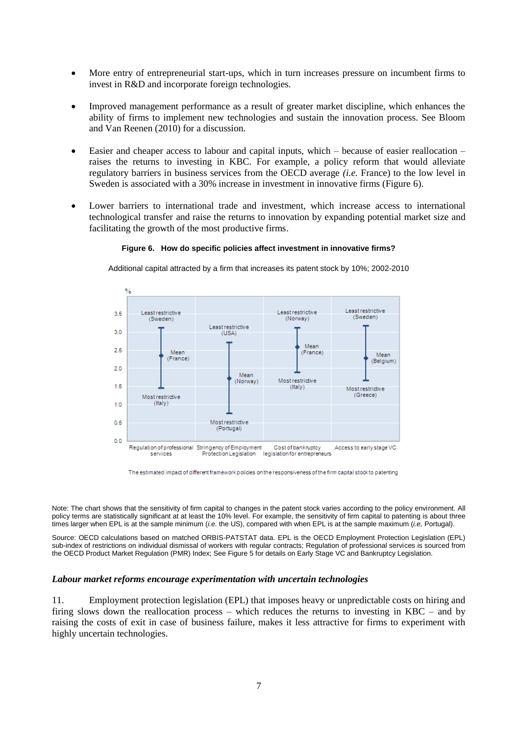- More entry of entrepreneurial start-ups, which in turn increases pressure on incumbent firms to invest in R&D and incorporate foreign technologies.
- Improved management performance as a result of greater market discipline, which enhances the ability of firms to implement new technologies and sustain the innovation process. See Bloom and Van Reenen (2010) for a discussion.
- $\bullet$  Easier and cheaper access to labour and capital inputs, which because of easier reallocation raises the returns to investing in KBC. For example, a policy reform that would alleviate regulatory barriers in business services from the OECD average *(i.e.* France) to the low level in Sweden is associated with a 30% increase in investment in innovative firms (Figure 6).
- Lower barriers to international trade and investment, which increase access to international technological transfer and raise the returns to innovation by expanding potential market size and facilitating the growth of the most productive firms.

#### **Figure 6. How do specific policies affect investment in innovative firms?**

Additional capital attracted by a firm that increases its patent stock by 10%; 2002-2010



The estimated impact of different framework policies on the responsiveness of the firm capital stock to patenting

Note: The chart shows that the sensitivity of firm capital to changes in the patent stock varies according to the policy environment. All policy terms are statistically significant at at least the 10% level. For example, the sensitivity of firm capital to patenting is about three times larger when EPL is at the sample minimum (*i.e.* the US), compared with when EPL is at the sample maximum (*i.e,* Portugal).

Source: OECD calculations based on matched ORBIS-PATSTAT data. EPL is the OECD Employment Protection Legislation (EPL) sub-index of restrictions on individual dismissal of workers with regular contracts; Regulation of professional services is sourced from the OECD Product Market Regulation (PMR) Index; See Figure 5 for details on Early Stage VC and Bankruptcy Legislation.

#### *Labour market reforms encourage experimentation with uncertain technologies*

11. Employment protection legislation (EPL) that imposes heavy or unpredictable costs on hiring and firing slows down the reallocation process – which reduces the returns to investing in KBC – and by raising the costs of exit in case of business failure, makes it less attractive for firms to experiment with highly uncertain technologies.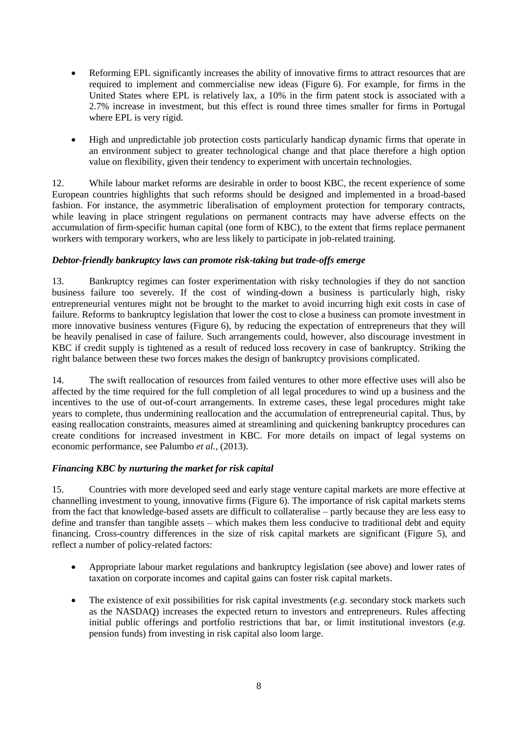- Reforming EPL significantly increases the ability of innovative firms to attract resources that are required to implement and commercialise new ideas (Figure 6). For example, for firms in the United States where EPL is relatively lax, a 10% in the firm patent stock is associated with a 2.7% increase in investment, but this effect is round three times smaller for firms in Portugal where EPL is very rigid.
- High and unpredictable job protection costs particularly handicap dynamic firms that operate in an environment subject to greater technological change and that place therefore a high option value on flexibility, given their tendency to experiment with uncertain technologies.

12. While labour market reforms are desirable in order to boost KBC, the recent experience of some European countries highlights that such reforms should be designed and implemented in a broad-based fashion. For instance, the asymmetric liberalisation of employment protection for temporary contracts, while leaving in place stringent regulations on permanent contracts may have adverse effects on the accumulation of firm-specific human capital (one form of KBC), to the extent that firms replace permanent workers with temporary workers, who are less likely to participate in job-related training.

# *Debtor-friendly bankruptcy laws can promote risk-taking but trade-offs emerge*

13. Bankruptcy regimes can foster experimentation with risky technologies if they do not sanction business failure too severely. If the cost of winding-down a business is particularly high, risky entrepreneurial ventures might not be brought to the market to avoid incurring high exit costs in case of failure. Reforms to bankruptcy legislation that lower the cost to close a business can promote investment in more innovative business ventures (Figure 6), by reducing the expectation of entrepreneurs that they will be heavily penalised in case of failure. Such arrangements could, however, also discourage investment in KBC if credit supply is tightened as a result of reduced loss recovery in case of bankruptcy. Striking the right balance between these two forces makes the design of bankruptcy provisions complicated.

14. The swift reallocation of resources from failed ventures to other more effective uses will also be affected by the time required for the full completion of all legal procedures to wind up a business and the incentives to the use of out-of-court arrangements. In extreme cases, these legal procedures might take years to complete, thus undermining reallocation and the accumulation of entrepreneurial capital. Thus, by easing reallocation constraints, measures aimed at streamlining and quickening bankruptcy procedures can create conditions for increased investment in KBC. For more details on impact of legal systems on economic performance, see Palumbo *et al.,* (2013).

### *Financing KBC by nurturing the market for risk capital*

15. Countries with more developed seed and early stage venture capital markets are more effective at channelling investment to young, innovative firms (Figure 6). The importance of risk capital markets stems from the fact that knowledge-based assets are difficult to collateralise – partly because they are less easy to define and transfer than tangible assets – which makes them less conducive to traditional debt and equity financing. Cross-country differences in the size of risk capital markets are significant (Figure 5), and reflect a number of policy-related factors:

- Appropriate labour market regulations and bankruptcy legislation (see above) and lower rates of taxation on corporate incomes and capital gains can foster risk capital markets.
- The existence of exit possibilities for risk capital investments (*e.g.* secondary stock markets such as the NASDAQ) increases the expected return to investors and entrepreneurs. Rules affecting initial public offerings and portfolio restrictions that bar, or limit institutional investors (*e.g.* pension funds) from investing in risk capital also loom large.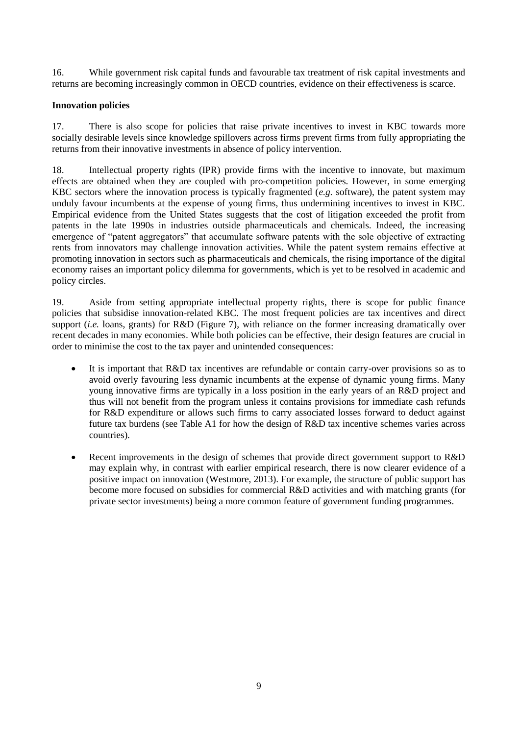16. While government risk capital funds and favourable tax treatment of risk capital investments and returns are becoming increasingly common in OECD countries, evidence on their effectiveness is scarce.

### **Innovation policies**

17. There is also scope for policies that raise private incentives to invest in KBC towards more socially desirable levels since knowledge spillovers across firms prevent firms from fully appropriating the returns from their innovative investments in absence of policy intervention.

18. Intellectual property rights (IPR) provide firms with the incentive to innovate, but maximum effects are obtained when they are coupled with pro-competition policies. However, in some emerging KBC sectors where the innovation process is typically fragmented (*e.g.* software), the patent system may unduly favour incumbents at the expense of young firms, thus undermining incentives to invest in KBC. Empirical evidence from the United States suggests that the cost of litigation exceeded the profit from patents in the late 1990s in industries outside pharmaceuticals and chemicals. Indeed, the increasing emergence of "patent aggregators" that accumulate software patents with the sole objective of extracting rents from innovators may challenge innovation activities. While the patent system remains effective at promoting innovation in sectors such as pharmaceuticals and chemicals, the rising importance of the digital economy raises an important policy dilemma for governments, which is yet to be resolved in academic and policy circles.

19. Aside from setting appropriate intellectual property rights, there is scope for public finance policies that subsidise innovation-related KBC. The most frequent policies are tax incentives and direct support *(i.e.* loans, grants) for R&D (Figure 7), with reliance on the former increasing dramatically over recent decades in many economies. While both policies can be effective, their design features are crucial in order to minimise the cost to the tax payer and unintended consequences:

- It is important that R&D tax incentives are refundable or contain carry-over provisions so as to avoid overly favouring less dynamic incumbents at the expense of dynamic young firms. Many young innovative firms are typically in a loss position in the early years of an R&D project and thus will not benefit from the program unless it contains provisions for immediate cash refunds for R&D expenditure or allows such firms to carry associated losses forward to deduct against future tax burdens (see Table A1 for how the design of R&D tax incentive schemes varies across countries).
- Recent improvements in the design of schemes that provide direct government support to R&D may explain why, in contrast with earlier empirical research, there is now clearer evidence of a positive impact on innovation (Westmore, 2013). For example, the structure of public support has become more focused on subsidies for commercial R&D activities and with matching grants (for private sector investments) being a more common feature of government funding programmes.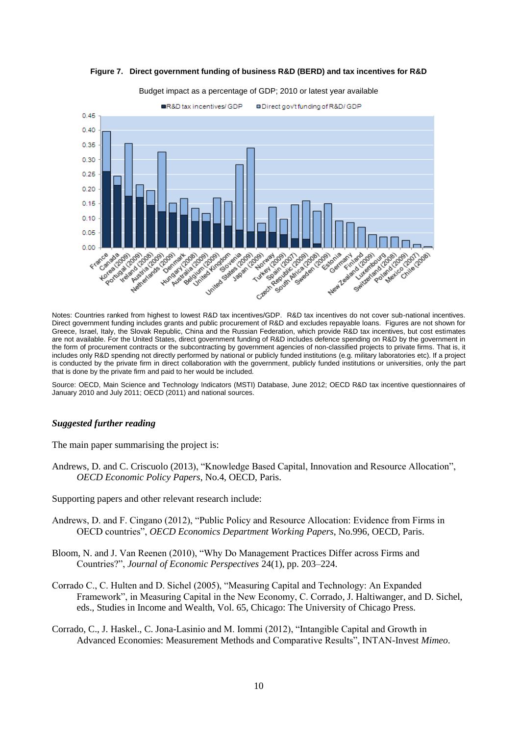

**Figure 7. Direct government funding of business R&D (BERD) and tax incentives for R&D**

Budget impact as a percentage of GDP; 2010 or latest year available

Direct government funding includes grants and public procurement of R&D and excludes repayable loans. Figures are not shown for Greece, Israel, Italy, the Slovak Republic, China and the Russian Federation, which provide R&D tax incentives, but cost estimates are not available. For the United States, direct government funding of R&D includes defence spending on R&D by the government in the form of procurement contracts or the subcontracting by government agencies of non-classified projects to private firms. That is, it includes only R&D spending not directly performed by national or publicly funded institutions (e.g. military laboratories etc). If a project is conducted by the private firm in direct collaboration with the government, publicly funded institutions or universities, only the part that is done by the private firm and paid to her would be included.

Source: OECD, Main Science and Technology Indicators (MSTI) Database, June 2012; OECD R&D tax incentive questionnaires of January 2010 and July 2011; OECD (2011) and national sources.

#### *Suggested further reading*

The main paper summarising the project is:

Andrews, D. and C. Criscuolo (2013), "Knowledge Based Capital, Innovation and Resource Allocation", *OECD Economic Policy Papers*, No.4, OECD, Paris.

Supporting papers and other relevant research include:

- Andrews, D. and F. Cingano (2012), "Public Policy and Resource Allocation: Evidence from Firms in OECD countries", *OECD Economics Department Working Papers*, No.996, OECD, Paris.
- Bloom, N. and J. Van Reenen (2010), "Why Do Management Practices Differ across Firms and Countries?", *Journal of Economic Perspectives* 24(1), pp. 203–224.
- Corrado C., C. Hulten and D. Sichel (2005), "Measuring Capital and Technology: An Expanded Framework", in Measuring Capital in the New Economy, C. Corrado, J. Haltiwanger, and D. Sichel, eds., Studies in Income and Wealth, Vol. 65, Chicago: The University of Chicago Press.
- Corrado, C., J. Haskel., C. Jona-Lasinio and M. Iommi (2012), "Intangible Capital and Growth in Advanced Economies: Measurement Methods and Comparative Results", INTAN-Invest *Mimeo*.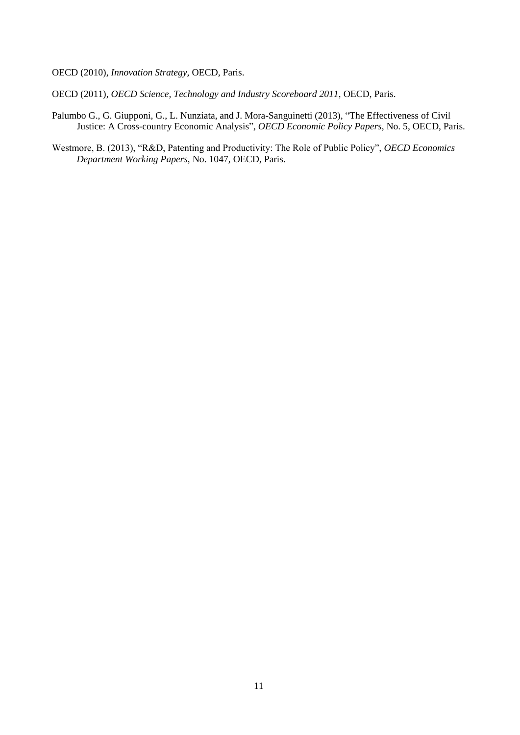OECD (2010), *Innovation Strategy,* OECD, Paris.

OECD (2011), *OECD Science, Technology and Industry Scoreboard 2011*, OECD, Paris.

- Palumbo G., G. Giupponi, G., L. Nunziata, and J. Mora-Sanguinetti (2013), "The Effectiveness of Civil Justice: A Cross-country Economic Analysis", *OECD Economic Policy Papers*, No. 5, OECD, Paris.
- Westmore, B. (2013), "R&D, Patenting and Productivity: The Role of Public Policy", *OECD Economics Department Working Papers*, No. 1047, OECD, Paris.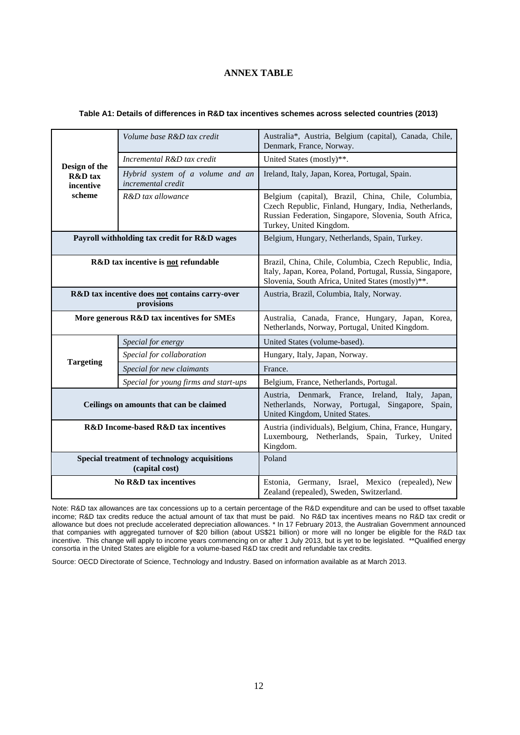### **ANNEX TABLE**

| Design of the<br><b>R&amp;D</b> tax<br>incentive<br>scheme     | Volume base R&D tax credit                             | Australia*, Austria, Belgium (capital), Canada, Chile,<br>Denmark, France, Norway.                                                                                                               |
|----------------------------------------------------------------|--------------------------------------------------------|--------------------------------------------------------------------------------------------------------------------------------------------------------------------------------------------------|
|                                                                | Incremental R&D tax credit                             | United States (mostly)**.                                                                                                                                                                        |
|                                                                | Hybrid system of a volume and an<br>incremental credit | Ireland, Italy, Japan, Korea, Portugal, Spain.                                                                                                                                                   |
|                                                                | R&D tax allowance                                      | Belgium (capital), Brazil, China, Chile, Columbia,<br>Czech Republic, Finland, Hungary, India, Netherlands,<br>Russian Federation, Singapore, Slovenia, South Africa,<br>Turkey, United Kingdom. |
| Payroll withholding tax credit for R&D wages                   |                                                        | Belgium, Hungary, Netherlands, Spain, Turkey.                                                                                                                                                    |
| R&D tax incentive is not refundable                            |                                                        | Brazil, China, Chile, Columbia, Czech Republic, India,<br>Italy, Japan, Korea, Poland, Portugal, Russia, Singapore,<br>Slovenia, South Africa, United States (mostly)**.                         |
| R&D tax incentive does not contains carry-over<br>provisions   |                                                        | Austria, Brazil, Columbia, Italy, Norway.                                                                                                                                                        |
| More generous R&D tax incentives for SMEs                      |                                                        | Australia, Canada, France, Hungary, Japan, Korea,<br>Netherlands, Norway, Portugal, United Kingdom.                                                                                              |
|                                                                | Special for energy                                     | United States (volume-based).                                                                                                                                                                    |
|                                                                | Special for collaboration                              | Hungary, Italy, Japan, Norway.                                                                                                                                                                   |
| <b>Targeting</b>                                               | Special for new claimants                              | France.                                                                                                                                                                                          |
|                                                                | Special for young firms and start-ups                  | Belgium, France, Netherlands, Portugal.                                                                                                                                                          |
| Ceilings on amounts that can be claimed                        |                                                        | Austria, Denmark, France, Ireland, Italy,<br>Japan,<br>Netherlands, Norway, Portugal, Singapore,<br>Spain,<br>United Kingdom, United States.                                                     |
| <b>R&amp;D</b> Income-based R&D tax incentives                 |                                                        | Austria (individuals), Belgium, China, France, Hungary,<br>Luxembourg, Netherlands, Spain, Turkey,<br>United<br>Kingdom.                                                                         |
| Special treatment of technology acquisitions<br>(capital cost) |                                                        | Poland                                                                                                                                                                                           |
| <b>No R&amp;D tax incentives</b>                               |                                                        | Germany, Israel, Mexico (repealed), New<br>Estonia,<br>Zealand (repealed), Sweden, Switzerland.                                                                                                  |

#### **Table A1: Details of differences in R&D tax incentives schemes across selected countries (2013)**

Note: R&D tax allowances are tax concessions up to a certain percentage of the R&D expenditure and can be used to offset taxable income; R&D tax credits reduce the actual amount of tax that must be paid. No R&D tax incentives means no R&D tax credit or allowance but does not preclude accelerated depreciation allowances. \* In 17 February 2013, the Australian Government announced that companies with aggregated turnover of \$20 billion (about US\$21 billion) or more will no longer be eligible for the R&D tax incentive. This change will apply to income years commencing on or after 1 July 2013, but is yet to be legislated. \*\*Qualified energy consortia in the United States are eligible for a volume-based R&D tax credit and refundable tax credits.

Source: OECD Directorate of Science, Technology and Industry. Based on information available as at March 2013.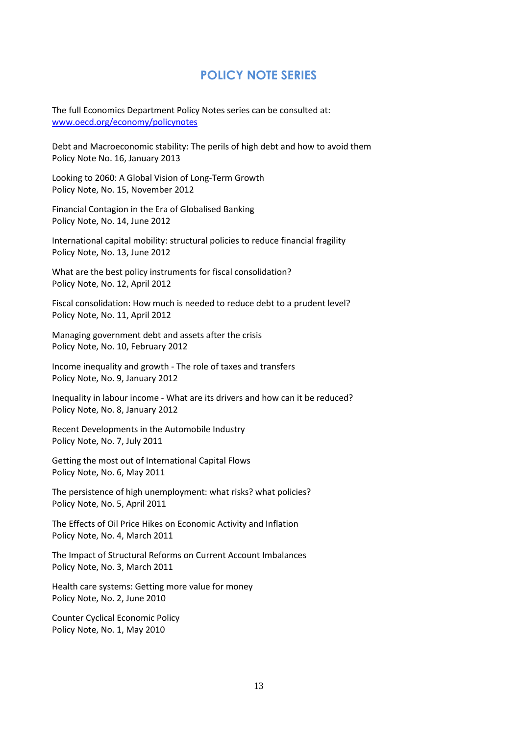# **POLICY NOTE SERIES**

The full Economics Department Policy Notes series can be consulted at: [www.oecd.org/economy/policynotes](http://www.oecd.org/economy/policynotes)

Debt and Macroeconomic stability: The perils of high debt and how to avoid them Policy Note No. 16, January 2013

Looking to 2060: A Global Vision of Long-Term Growth Policy Note, No. 15, November 2012

Financial Contagion in the Era of Globalised Banking Policy Note, No. 14, June 2012

International capital mobility: structural policies to reduce financial fragility Policy Note, No. 13, June 2012

What are the best policy instruments for fiscal consolidation? Policy Note, No. 12, April 2012

Fiscal consolidation: How much is needed to reduce debt to a prudent level? Policy Note, No. 11, April 2012

Managing government debt and assets after the crisis Policy Note, No. 10, February 2012

Income inequality and growth - The role of taxes and transfers Policy Note, No. 9, January 2012

Inequality in labour income - What are its drivers and how can it be reduced? Policy Note, No. 8, January 2012

Recent Developments in the Automobile Industry Policy Note, No. 7, July 2011

Getting the most out of International Capital Flows Policy Note, No. 6, May 2011

The persistence of high unemployment: what risks? what policies? Policy Note, No. 5, April 2011

The Effects of Oil Price Hikes on Economic Activity and Inflation Policy Note, No. 4, March 2011

The Impact of Structural Reforms on Current Account Imbalances Policy Note, No. 3, March 2011

Health care systems: Getting more value for money Policy Note, No. 2, June 2010

Counter Cyclical Economic Policy Policy Note, No. 1, May 2010